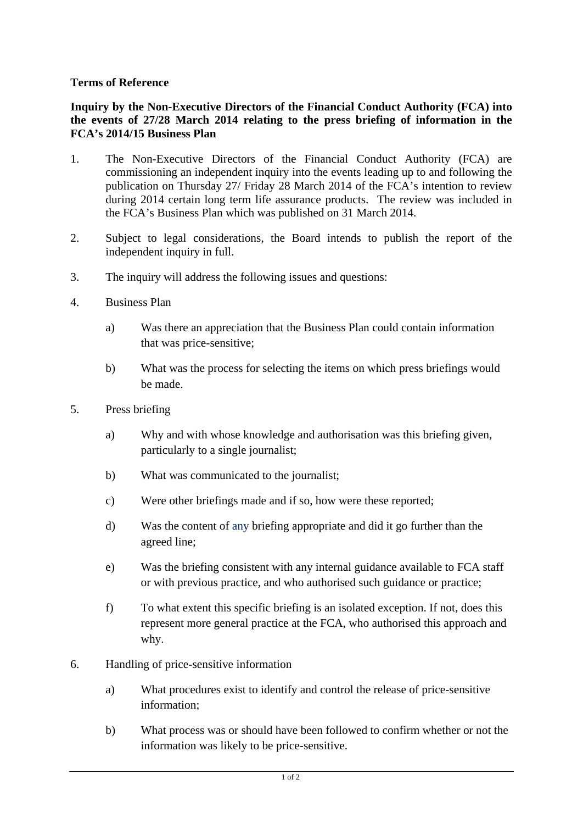## **Terms of Reference**

## **Inquiry by the Non-Executive Directors of the Financial Conduct Authority (FCA) into the events of 27/28 March 2014 relating to the press briefing of information in the FCA's 2014/15 Business Plan**

- 1. The Non-Executive Directors of the Financial Conduct Authority (FCA) are commissioning an independent inquiry into the events leading up to and following the publication on Thursday 27/ Friday 28 March 2014 of the FCA's intention to review during 2014 certain long term life assurance products. The review was included in the FCA's Business Plan which was published on 31 March 2014.
- 2. Subject to legal considerations, the Board intends to publish the report of the independent inquiry in full.
- 3. The inquiry will address the following issues and questions:
- 4. Business Plan
	- a) Was there an appreciation that the Business Plan could contain information that was price-sensitive;
	- b) What was the process for selecting the items on which press briefings would be made.
- 5. Press briefing
	- a) Why and with whose knowledge and authorisation was this briefing given, particularly to a single journalist;
	- b) What was communicated to the journalist;
	- c) Were other briefings made and if so, how were these reported;
	- d) Was the content of any briefing appropriate and did it go further than the agreed line;
	- e) Was the briefing consistent with any internal guidance available to FCA staff or with previous practice, and who authorised such guidance or practice;
	- f) To what extent this specific briefing is an isolated exception. If not, does this represent more general practice at the FCA, who authorised this approach and why.
- 6. Handling of price-sensitive information
	- a) What procedures exist to identify and control the release of price-sensitive information;
	- b) What process was or should have been followed to confirm whether or not the information was likely to be price-sensitive.